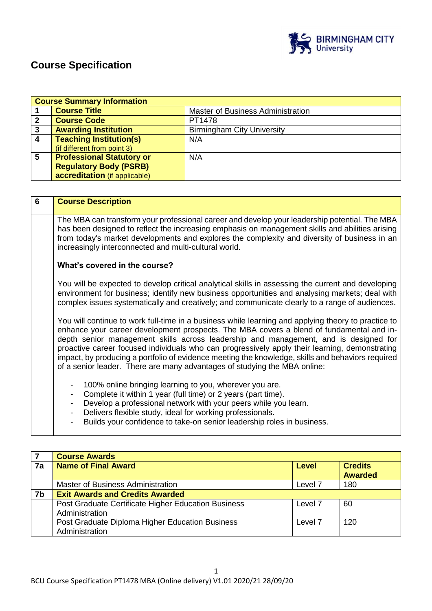

# **Course Specification**

|                         | <b>Course Summary Information</b>                                                                                                                                                               |                                   |  |
|-------------------------|-------------------------------------------------------------------------------------------------------------------------------------------------------------------------------------------------|-----------------------------------|--|
|                         | <b>Course Title</b>                                                                                                                                                                             | Master of Business Administration |  |
| $\overline{2}$          | <b>Course Code</b>                                                                                                                                                                              | PT1478                            |  |
| $\mathbf{3}$            | <b>Awarding Institution</b><br><b>Birmingham City University</b>                                                                                                                                |                                   |  |
| $\overline{\mathbf{4}}$ | <b>Teaching Institution(s)</b>                                                                                                                                                                  | N/A                               |  |
|                         | (if different from point 3)                                                                                                                                                                     |                                   |  |
| 5                       | <b>Professional Statutory or</b>                                                                                                                                                                | N/A                               |  |
|                         | <b>Regulatory Body (PSRB)</b>                                                                                                                                                                   |                                   |  |
|                         | accreditation (if applicable)                                                                                                                                                                   |                                   |  |
|                         |                                                                                                                                                                                                 |                                   |  |
|                         |                                                                                                                                                                                                 |                                   |  |
| 6                       | <b>Course Description</b>                                                                                                                                                                       |                                   |  |
|                         |                                                                                                                                                                                                 |                                   |  |
|                         | The MBA can transform your professional career and develop your leadership potential. The MBA                                                                                                   |                                   |  |
|                         | has been designed to reflect the increasing emphasis on management skills and abilities arising<br>from today's market developments and explores the complexity and diversity of business in an |                                   |  |
|                         |                                                                                                                                                                                                 |                                   |  |
|                         | increasingly interconnected and multi-cultural world.                                                                                                                                           |                                   |  |

## **What's covered in the course?**

You will be expected to develop critical analytical skills in assessing the current and developing environment for business; identify new business opportunities and analysing markets; deal with complex issues systematically and creatively; and communicate clearly to a range of audiences.

You will continue to work full-time in a business while learning and applying theory to practice to enhance your career development prospects. The MBA covers a blend of fundamental and indepth senior management skills across leadership and management, and is designed for proactive career focused individuals who can progressively apply their learning, demonstrating impact, by producing a portfolio of evidence meeting the knowledge, skills and behaviors required of a senior leader. There are many advantages of studying the MBA online:

- 100% online bringing learning to you, wherever you are.
- Complete it within 1 year (full time) or 2 years (part time).
- Develop a professional network with your peers while you learn.
- Delivers flexible study, ideal for working professionals.
- Builds your confidence to take-on senior leadership roles in business.

|    | <b>Course Awards</b>                                                                                                                       |                    |                                  |
|----|--------------------------------------------------------------------------------------------------------------------------------------------|--------------------|----------------------------------|
| 7a | <b>Name of Final Award</b>                                                                                                                 | Level              | <b>Credits</b><br><b>Awarded</b> |
|    | Master of Business Administration                                                                                                          | Level <sub>7</sub> | 180                              |
| 7b | <b>Exit Awards and Credits Awarded</b>                                                                                                     |                    |                                  |
|    | Post Graduate Certificate Higher Education Business<br>Administration<br>Post Graduate Diploma Higher Education Business<br>Administration | Level 7<br>Level 7 | 60<br>120                        |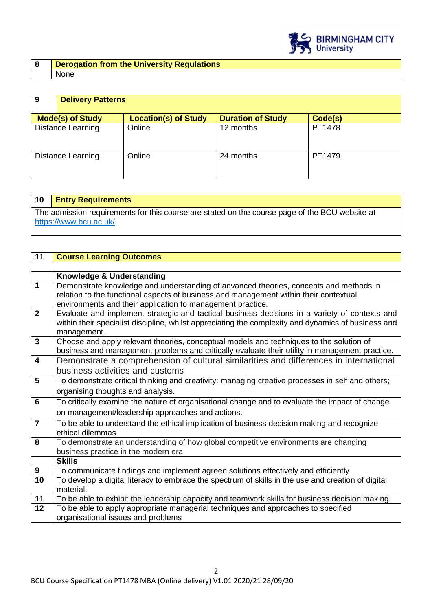

| Derogation from the University Regulations |
|--------------------------------------------|
| None                                       |

| 9                        | <b>Delivery Patterns</b> |                             |                          |         |
|--------------------------|--------------------------|-----------------------------|--------------------------|---------|
| <b>Mode(s) of Study</b>  |                          | <b>Location(s) of Study</b> | <b>Duration of Study</b> | Code(s) |
| <b>Distance Learning</b> |                          | Online                      | 12 months                | PT1478  |
| <b>Distance Learning</b> |                          | Online                      | 24 months                | PT1479  |

| 10 | <b>Entry Requirements</b>                                                                      |
|----|------------------------------------------------------------------------------------------------|
|    | The admission requirements for this course are stated on the course page of the BCU website at |
|    | https://www.bcu.ac.uk/                                                                         |
|    |                                                                                                |

| 11                      | <b>Course Learning Outcomes</b>                                                                     |
|-------------------------|-----------------------------------------------------------------------------------------------------|
|                         |                                                                                                     |
|                         | Knowledge & Understanding                                                                           |
| $\overline{1}$          | Demonstrate knowledge and understanding of advanced theories, concepts and methods in               |
|                         | relation to the functional aspects of business and management within their contextual               |
|                         | environments and their application to management practice.                                          |
| $\overline{2}$          | Evaluate and implement strategic and tactical business decisions in a variety of contexts and       |
|                         | within their specialist discipline, whilst appreciating the complexity and dynamics of business and |
|                         | management.                                                                                         |
| $\overline{\mathbf{3}}$ | Choose and apply relevant theories, conceptual models and techniques to the solution of             |
|                         | business and management problems and critically evaluate their utility in management practice.      |
| $\overline{4}$          | Demonstrate a comprehension of cultural similarities and differences in international               |
|                         | business activities and customs                                                                     |
| $\overline{5}$          | To demonstrate critical thinking and creativity: managing creative processes in self and others;    |
|                         | organising thoughts and analysis.                                                                   |
| $6\phantom{1}6$         | To critically examine the nature of organisational change and to evaluate the impact of change      |
|                         | on management/leadership approaches and actions.                                                    |
| $\overline{7}$          | To be able to understand the ethical implication of business decision making and recognize          |
|                         | ethical dilemmas                                                                                    |
| $\overline{\mathbf{8}}$ | To demonstrate an understanding of how global competitive environments are changing                 |
|                         | business practice in the modern era.                                                                |
|                         | <b>Skills</b>                                                                                       |
| 9                       | To communicate findings and implement agreed solutions effectively and efficiently                  |
| 10                      | To develop a digital literacy to embrace the spectrum of skills in the use and creation of digital  |
|                         | material.                                                                                           |
| 11                      | To be able to exhibit the leadership capacity and teamwork skills for business decision making.     |
| 12                      | To be able to apply appropriate managerial techniques and approaches to specified                   |
|                         | organisational issues and problems                                                                  |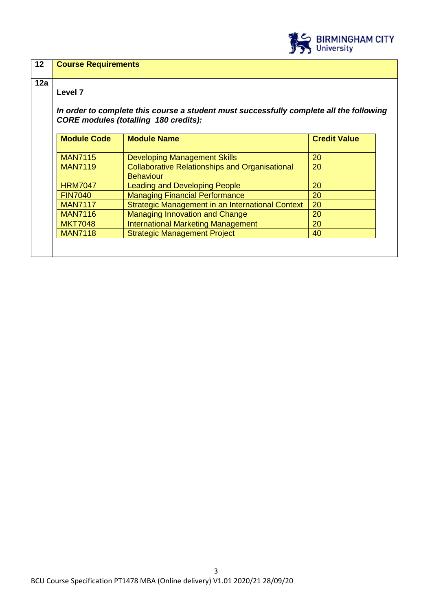

| Level <sub>7</sub> |                                                                                                                                         |                     |
|--------------------|-----------------------------------------------------------------------------------------------------------------------------------------|---------------------|
|                    | In order to complete this course a student must successfully complete all the following<br><b>CORE modules (totalling 180 credits):</b> |                     |
| <b>Module Code</b> | <b>Module Name</b>                                                                                                                      | <b>Credit Value</b> |
| <b>MAN7115</b>     | <b>Developing Management Skills</b>                                                                                                     | 20                  |
| <b>MAN7119</b>     | <b>Collaborative Relationships and Organisational</b><br><b>Behaviour</b>                                                               | 20                  |
| <b>HRM7047</b>     | <b>Leading and Developing People</b>                                                                                                    | 20                  |
| <b>FIN7040</b>     | <b>Managing Financial Performance</b>                                                                                                   | 20                  |
| <b>MAN7117</b>     | Strategic Management in an International Context                                                                                        | 20                  |
| <b>MAN7116</b>     | Managing Innovation and Change                                                                                                          | 20                  |
| <b>MKT7048</b>     | <b>International Marketing Management</b>                                                                                               | 20                  |
|                    | <b>Strategic Management Project</b>                                                                                                     | 40                  |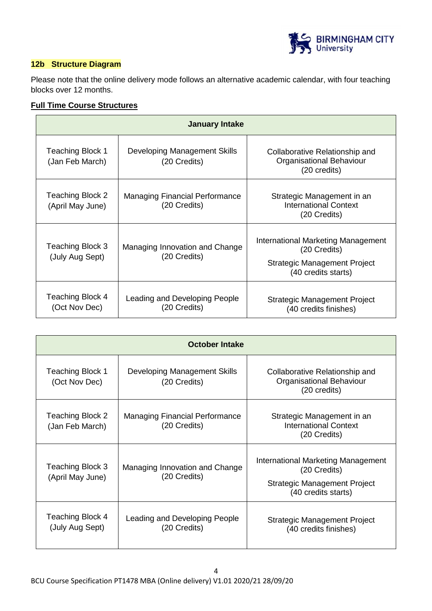

## **12b Structure Diagram**

Please note that the online delivery mode follows an alternative academic calendar, with four teaching blocks over 12 months.

## **Full Time Course Structures**

| <b>January Intake</b>                |                                                       |                                                                                                           |
|--------------------------------------|-------------------------------------------------------|-----------------------------------------------------------------------------------------------------------|
| Teaching Block 1<br>(Jan Feb March)  | Developing Management Skills<br>(20 Credits)          | Collaborative Relationship and<br>Organisational Behaviour<br>(20 credits)                                |
| Teaching Block 2<br>(April May June) | <b>Managing Financial Performance</b><br>(20 Credits) | Strategic Management in an<br><b>International Context</b><br>(20 Credits)                                |
| Teaching Block 3<br>(July Aug Sept)  | Managing Innovation and Change<br>(20 Credits)        | International Marketing Management<br>(20 Credits)<br>Strategic Management Project<br>(40 credits starts) |
| Teaching Block 4<br>(Oct Nov Dec)    | Leading and Developing People<br>(20 Credits)         | Strategic Management Project<br>(40 credits finishes)                                                     |

| October Intake                             |                                                       |                                                                                                                  |
|--------------------------------------------|-------------------------------------------------------|------------------------------------------------------------------------------------------------------------------|
| Teaching Block 1<br>(Oct Nov Dec)          | Developing Management Skills<br>(20 Credits)          | Collaborative Relationship and<br>Organisational Behaviour<br>(20 credits)                                       |
| Teaching Block 2<br>(Jan Feb March)        | <b>Managing Financial Performance</b><br>(20 Credits) | Strategic Management in an<br><b>International Context</b><br>(20 Credits)                                       |
| Teaching Block 3<br>(April May June)       | Managing Innovation and Change<br>(20 Credits)        | International Marketing Management<br>(20 Credits)<br><b>Strategic Management Project</b><br>(40 credits starts) |
| <b>Teaching Block 4</b><br>(July Aug Sept) | Leading and Developing People<br>(20 Credits)         | Strategic Management Project<br>(40 credits finishes)                                                            |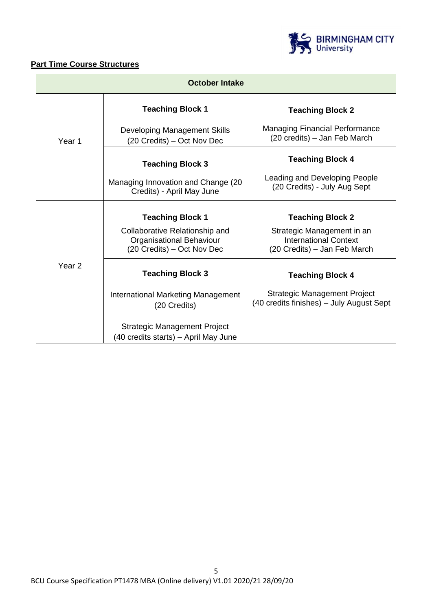

## **Part Time Course Structures**

| <b>October Intake</b> |                                                                                          |                                                                                            |
|-----------------------|------------------------------------------------------------------------------------------|--------------------------------------------------------------------------------------------|
|                       | <b>Teaching Block 1</b>                                                                  | <b>Teaching Block 2</b>                                                                    |
| Year 1                | Developing Management Skills<br>(20 Credits) – Oct Nov Dec                               | <b>Managing Financial Performance</b><br>(20 credits) – Jan Feb March                      |
|                       | <b>Teaching Block 3</b>                                                                  | <b>Teaching Block 4</b>                                                                    |
|                       | Managing Innovation and Change (20<br>Credits) - April May June                          | Leading and Developing People<br>(20 Credits) - July Aug Sept                              |
|                       | <b>Teaching Block 1</b>                                                                  | <b>Teaching Block 2</b>                                                                    |
|                       | Collaborative Relationship and<br>Organisational Behaviour<br>(20 Credits) – Oct Nov Dec | Strategic Management in an<br><b>International Context</b><br>(20 Credits) – Jan Feb March |
| Year 2                | <b>Teaching Block 3</b>                                                                  | <b>Teaching Block 4</b>                                                                    |
|                       | <b>International Marketing Management</b><br>(20 Credits)                                | Strategic Management Project<br>(40 credits finishes) - July August Sept                   |
|                       | Strategic Management Project<br>(40 credits starts) - April May June                     |                                                                                            |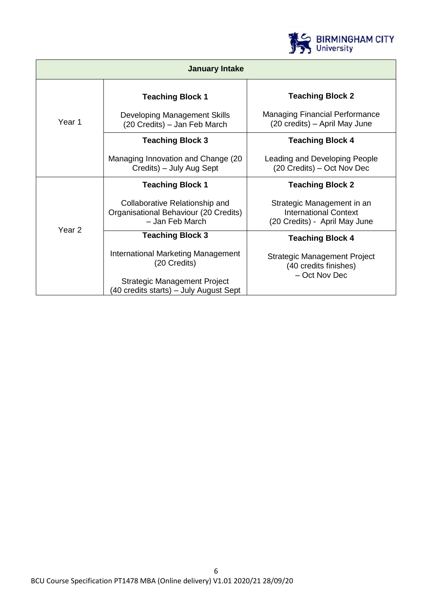

| <b>January Intake</b> |                                                                                            |                                                                                             |
|-----------------------|--------------------------------------------------------------------------------------------|---------------------------------------------------------------------------------------------|
|                       | <b>Teaching Block 1</b>                                                                    | <b>Teaching Block 2</b>                                                                     |
| Year 1                | Developing Management Skills<br>(20 Credits) – Jan Feb March                               | <b>Managing Financial Performance</b><br>(20 credits) - April May June                      |
|                       | <b>Teaching Block 3</b>                                                                    | <b>Teaching Block 4</b>                                                                     |
|                       | Managing Innovation and Change (20<br>Credits) – July Aug Sept                             | Leading and Developing People<br>(20 Credits) – Oct Nov Dec                                 |
|                       | <b>Teaching Block 1</b>                                                                    | <b>Teaching Block 2</b>                                                                     |
|                       | Collaborative Relationship and<br>Organisational Behaviour (20 Credits)<br>- Jan Feb March | Strategic Management in an<br><b>International Context</b><br>(20 Credits) - April May June |
| Year <sub>2</sub>     | <b>Teaching Block 3</b>                                                                    | <b>Teaching Block 4</b>                                                                     |
|                       | International Marketing Management<br>(20 Credits)                                         | Strategic Management Project<br>(40 credits finishes)                                       |
|                       | Strategic Management Project<br>(40 credits starts) – July August Sept                     | - Oct Nov Dec                                                                               |